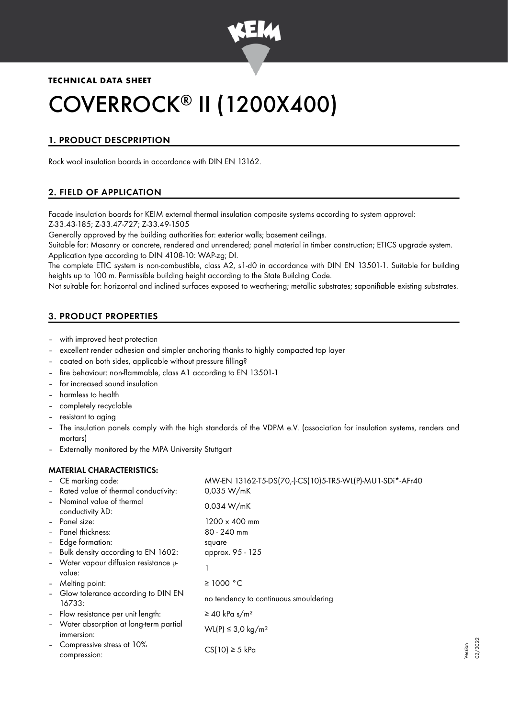

# **TECHNICAL DATA SHEET**

# COVERROCK® II (1200X400)

# 1. PRODUCT DESCPRIPTION

Rock wool insulation boards in accordance with DIN EN 13162.

# 2. FIELD OF APPLICATION

Facade insulation boards for KEIM external thermal insulation composite systems according to system approval: Z-33.43-185; Z-33.47-727; Z-33.49-1505

Generally approved by the building authorities for: exterior walls; basement ceilings.

Suitable for: Masonry or concrete, rendered and unrendered; panel material in timber construction; ETICS upgrade system. Application type according to DIN 4108-10: WAP-zg; DI.

The complete ETIC system is non-combustible, class A2, s1-d0 in accordance with DIN EN 13501-1. Suitable for building heights up to 100 m. Permissible building height according to the State Building Code.

Not suitable for: horizontal and inclined surfaces exposed to weathering; metallic substrates; saponifiable existing substrates.

# 3. PRODUCT PROPERTIES

- with improved heat protection
- excellent render adhesion and simpler anchoring thanks to highly compacted top layer
- coated on both sides, applicable without pressure filling?
- fire behaviour: non-flammable, class A1 according to EN 13501-1
- for increased sound insulation
- harmless to health
- completely recyclable
- resistant to aging
- The insulation panels comply with the high standards of the VDPM e.V. (association for insulation systems, renders and mortars)
- Externally monitored by the MPA University Stuttgart

## MATERIAL CHARACTERISTICS:

|                          | - CE marking code:                                     | MW-EN 13162-T5-DS(70,-)-CS(10)5-TR5-WL(P)-MU1-SDi*-AFr40 |
|--------------------------|--------------------------------------------------------|----------------------------------------------------------|
|                          | - Rated value of thermal conductivity:                 | 0,035 W/mK                                               |
| $\overline{\phantom{a}}$ | Nominal value of thermal<br>conductivity $\lambda D$ : | 0,034 W/mK                                               |
|                          | Panel size:                                            | $1200 \times 400$ mm                                     |
| $\overline{\phantom{a}}$ | Panel thickness:                                       | 80 - 240 mm                                              |
|                          | - Edge formation:                                      | square                                                   |
|                          | - Bulk density according to EN 1602:                   | approx. 95 - 125                                         |
|                          | - Water vapour diffusion resistance $\mu$ -<br>value:  |                                                          |
|                          | - Melting point:                                       | ≥ 1000 °C                                                |
|                          | - Glow tolerance according to DIN EN<br>16733:         | no tendency to continuous smouldering                    |
| $\blacksquare$           | Flow resistance per unit length:                       | $\geq$ 40 kPa s/m <sup>2</sup>                           |
|                          | - Water absorption at long-term partial<br>immersion:  | WL(P) ≤ 3,0 kg/m <sup>2</sup>                            |
|                          | Compressive stress at 10%<br>compression:              | $CS(10) \geq 5$ kPa                                      |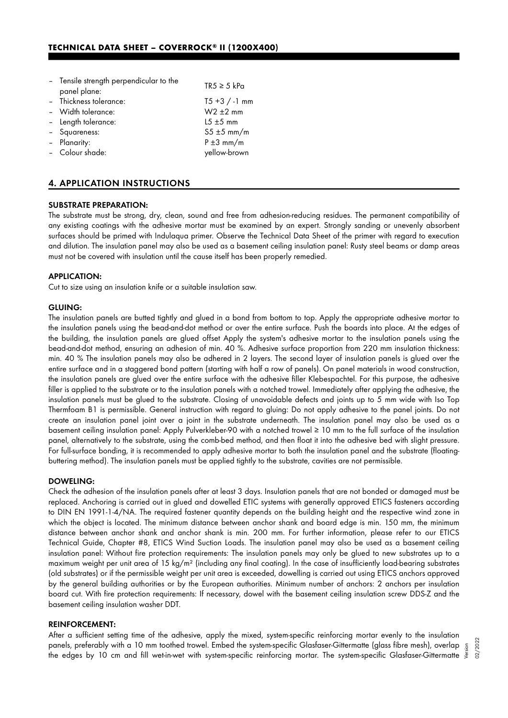| - Tensile strength perpendicular to the<br>panel plane: | $TR5 \geq 5$ kPa |
|---------------------------------------------------------|------------------|
| - Thickness tolerance:                                  | $T5 + 3 / -1$ mm |
| - Width tolerance:                                      | $W2 \pm 2$ mm    |
| - Length tolerance:                                     | $15 \pm 5$ mm    |
| - Squareness:                                           | $55 \pm 5$ mm/m  |
| - Planarity:                                            | $P \pm 3$ mm/m   |
| - Colour shade:                                         | yellow-brown     |
|                                                         |                  |

# 4. APPLICATION INSTRUCTIONS

#### SUBSTRATE PREPARATION:

The substrate must be strong, dry, clean, sound and free from adhesion-reducing residues. The permanent compatibility of any existing coatings with the adhesive mortar must be examined by an expert. Strongly sanding or unevenly absorbent surfaces should be primed with Indulaqua primer. Observe the Technical Data Sheet of the primer with regard to execution and dilution. The insulation panel may also be used as a basement ceiling insulation panel: Rusty steel beams or damp areas must not be covered with insulation until the cause itself has been properly remedied.

#### APPLICATION:

Cut to size using an insulation knife or a suitable insulation saw.

#### GLUING:

The insulation panels are butted tightly and glued in a bond from bottom to top. Apply the appropriate adhesive mortar to the insulation panels using the bead-and-dot method or over the entire surface. Push the boards into place. At the edges of the building, the insulation panels are glued offset Apply the system's adhesive mortar to the insulation panels using the bead-and-dot method, ensuring an adhesion of min. 40 %. Adhesive surface proportion from 220 mm insulation thickness: min. 40 % The insulation panels may also be adhered in 2 layers. The second layer of insulation panels is glued over the entire surface and in a staggered bond pattern (starting with half a row of panels). On panel materials in wood construction, the insulation panels are glued over the entire surface with the adhesive filler Klebespachtel. For this purpose, the adhesive filler is applied to the substrate or to the insulation panels with a notched trowel. Immediately after applying the adhesive, the insulation panels must be glued to the substrate. Closing of unavoidable defects and joints up to 5 mm wide with Iso Top Thermfoam B1 is permissible. General instruction with regard to gluing: Do not apply adhesive to the panel joints. Do not create an insulation panel joint over a joint in the substrate underneath. The insulation panel may also be used as a basement ceiling insulation panel: Apply Pulverkleber-90 with a notched trowel ≥ 10 mm to the full surface of the insulation panel, alternatively to the substrate, using the comb-bed method, and then float it into the adhesive bed with slight pressure. For full-surface bonding, it is recommended to apply adhesive mortar to both the insulation panel and the substrate (floatingbuttering method). The insulation panels must be applied tightly to the substrate, cavities are not permissible.

#### DOWELING:

Check the adhesion of the insulation panels after at least 3 days. Insulation panels that are not bonded or damaged must be replaced. Anchoring is carried out in glued and dowelled ETIC systems with generally approved ETICS fasteners according to DIN EN 1991-1-4/NA. The required fastener quantity depends on the building height and the respective wind zone in which the object is located. The minimum distance between anchor shank and board edge is min. 150 mm, the minimum distance between anchor shank and anchor shank is min. 200 mm. For further information, please refer to our ETICS Technical Guide, Chapter #8, ETICS Wind Suction Loads. The insulation panel may also be used as a basement ceiling insulation panel: Without fire protection requirements: The insulation panels may only be glued to new substrates up to a maximum weight per unit area of 15 kg/m² (including any final coating). In the case of insufficiently load-bearing substrates (old substrates) or if the permissible weight per unit area is exceeded, dowelling is carried out using ETICS anchors approved by the general building authorities or by the European authorities. Minimum number of anchors: 2 anchors per insulation board cut. With fire protection requirements: If necessary, dowel with the basement ceiling insulation screw DDS-Z and the basement ceiling insulation washer DDT.

#### REINFORCEMENT:

After a sufficient setting time of the adhesive, apply the mixed, system-specific reinforcing mortar evenly to the insulation panels, preferably with a 10 mm toothed trowel. Embed the system-specific Glasfaser-Gittermatte (glass fibre mesh), overlap panels, preferably with a 10 mm toothed trowel. Embed the system-specific Glasfaser-Gittermatte (glass fibre mesh), overlap  $\frac{5}{3}$ <br>"Ine edges by 10 cm and fill wet-in-wet with system-specific reinforcing mortar. The sys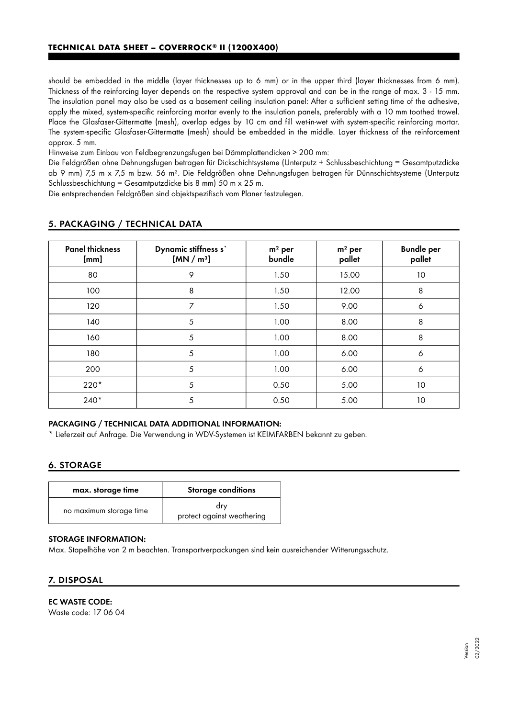should be embedded in the middle (layer thicknesses up to 6 mm) or in the upper third (layer thicknesses from 6 mm). Thickness of the reinforcing layer depends on the respective system approval and can be in the range of max. 3 - 15 mm. The insulation panel may also be used as a basement ceiling insulation panel: After a sufficient setting time of the adhesive, apply the mixed, system-specific reinforcing mortar evenly to the insulation panels, preferably with a 10 mm toothed trowel. Place the Glasfaser-Gittermatte (mesh), overlap edges by 10 cm and fill wet-in-wet with system-specific reinforcing mortar. The system-specific Glasfaser-Gittermatte (mesh) should be embedded in the middle. Layer thickness of the reinforcement approx. 5 mm.

Hinweise zum Einbau von Feldbegrenzungsfugen bei Dämmplattendicken > 200 mm:

Die Feldgrößen ohne Dehnungsfugen betragen für Dickschichtsysteme (Unterputz + Schlussbeschichtung = Gesamtputzdicke ab 9 mm) 7,5 m x 7,5 m bzw. 56 m². Die Feldgrößen ohne Dehnungsfugen betragen für Dünnschichtsysteme (Unterputz Schlussbeschichtung = Gesamtputzdicke bis 8 mm) 50 m x 25 m.

Die entsprechenden Feldgrößen sind objektspezifisch vom Planer festzulegen.

| <b>Panel thickness</b><br>[mm] | Dynamic stiffness s'<br>[MN/m <sup>3</sup> ] | $m2$ per<br>bundle | $m2$ per<br>pallet | <b>Bundle per</b><br>pallet |
|--------------------------------|----------------------------------------------|--------------------|--------------------|-----------------------------|
| 80                             | 9                                            | 1.50               | 15.00              | 10                          |
| 100                            | 8                                            | 1.50               | 12.00              | 8                           |
| 120                            | 7                                            | 1.50               | 9.00               | 6                           |
| 140                            | 5                                            | 1.00               | 8.00               | 8                           |
| 160                            | 5                                            | 1.00               | 8.00               | 8                           |
| 180                            | 5                                            | 1.00               | 6.00               | 6                           |
| 200                            | 5                                            | 1.00               | 6.00               | 6                           |
| $220*$                         | 5                                            | 0.50               | 5.00               | 10                          |
| $240*$                         | 5                                            | 0.50               | 5.00               | 10                          |

# 5. PACKAGING / TECHNICAL DATA

# PACKAGING / TECHNICAL DATA ADDITIONAL INFORMATION:

\* Lieferzeit auf Anfrage. Die Verwendung in WDV-Systemen ist KEIMFARBEN bekannt zu geben.

## 6. STORAGE

| max. storage time       | <b>Storage conditions</b>         |
|-------------------------|-----------------------------------|
| no maximum storage time | drv<br>protect against weathering |

### STORAGE INFORMATION:

Max. Stapelhöhe von 2 m beachten. Transportverpackungen sind kein ausreichender Witterungsschutz.

# 7. DISPOSAL

## EC WASTE CODE:

Waste code: 17 06 04